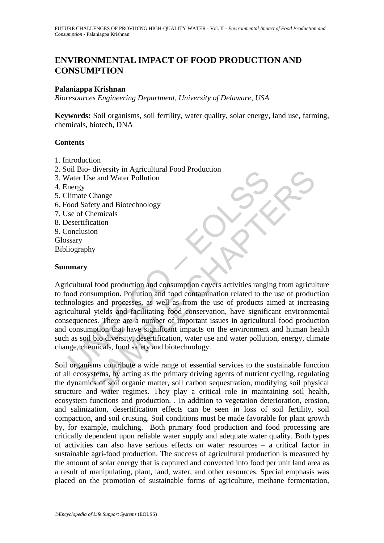# **ENVIRONMENTAL IMPACT OF FOOD PRODUCTION AND CONSUMPTION**

### **Palaniappa Krishnan**

*Bioresources Engineering Department, University of Delaware, USA* 

**Keywords:** Soil organisms, soil fertility, water quality, solar energy, land use, farming, chemicals, biotech, DNA

#### **Contents**

- 1. Introduction
- 2. Soil Bio- diversity in Agricultural Food Production
- 3. Water Use and Water Pollution
- 4. Energy
- 5. Climate Change
- 6. Food Safety and Biotechnology
- 7. Use of Chemicals
- 8. Desertification
- 9. Conclusion
- Glossary
- Bibliography

#### **Summary**

The diversity in Agricultural Food Floodcation<br>Valer Use and Water Pollution<br>nergy<br>limate Change<br>ood Safety and Biotechnology<br>sesertification<br>onclusion<br>sesertification<br>sesertification<br>nergy<br>liography<br>in any<br>sary<br>in the man For the matter point of the principle and water point of the same of the same of the particular science of the<br>
SCA of the matter point of the matter of the matter of the matter of the<br>
action of the set of production and Agricultural food production and consumption covers activities ranging from agriculture to food consumption. Pollution and food contamination related to the use of production technologies and processes, as well as from the use of products aimed at increasing agricultural yields and facilitating food conservation, have significant environmental consequences. There are a number of important issues in agricultural food production and consumption that have significant impacts on the environment and human health such as soil bio diversity, desertification, water use and water pollution, energy, climate change, chemicals, food safety and biotechnology.

Soil organisms contribute a wide range of essential services to the sustainable function of all ecosystems, by acting as the primary driving agents of nutrient cycling, regulating the dynamics of soil organic matter, soil carbon sequestration, modifying soil physical structure and water regimes. They play a critical role in maintaining soil health, ecosystem functions and production. . In addition to vegetation deterioration, erosion, and salinization, desertification effects can be seen in loss of soil fertility, soil compaction, and soil crusting. Soil conditions must be made favorable for plant growth by, for example, mulching. Both primary food production and food processing are critically dependent upon reliable water supply and adequate water quality. Both types of activities can also have serious effects on water resources – a critical factor in sustainable agri-food production. The success of agricultural production is measured by the amount of solar energy that is captured and converted into food per unit land area as a result of manipulating, plant, land, water, and other resources. Special emphasis was placed on the promotion of sustainable forms of agriculture, methane fermentation,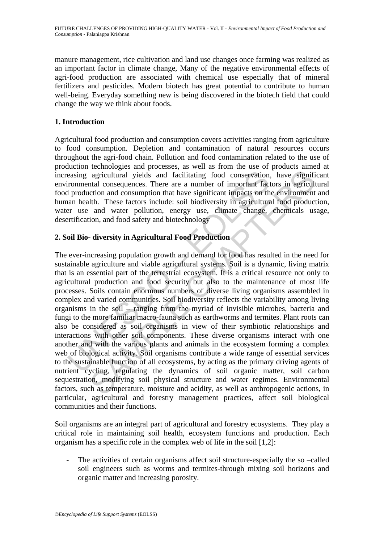manure management, rice cultivation and land use changes once farming was realized as an important factor in climate change, Many of the negative environmental effects of agri-food production are associated with chemical use especially that of mineral fertilizers and pesticides. Modern biotech has great potential to contribute to human well-being. Everyday something new is being discovered in the biotech field that could change the way we think about foods.

## **1. Introduction**

Agricultural food production and consumption covers activities ranging from agriculture to food consumption. Depletion and contamination of natural resources occurs throughout the agri-food chain. Pollution and food contamination related to the use of production technologies and processes, as well as from the use of products aimed at increasing agricultural yields and facilitating food conservation, have significant environmental consequences. There are a number of important factors in agricultural food production and consumption that have significant impacts on the environment and human health. These factors include: soil biodiversity in agricultural food production, water use and water pollution, energy use, climate change, chemicals usage, desertification, and food safety and biotechnology

## **2. Soil Bio- diversity in Agricultural Food Production**

easing agricultural yields and facilitating food conservation,<br>ironmental consequences. There are a number of important fact<br>production and consumption that have significant impacts on th<br>an health. These factors include: agricultural yields and facilitating food conservation, have signifital consequences. There are a number of important factors in agricultural consequences. There are a number of important factors in agricultural consumptio The ever-increasing population growth and demand for food has resulted in the need for sustainable agriculture and viable agricultural systems. Soil is a dynamic, living matrix that is an essential part of the terrestrial ecosystem. It is a critical resource not only to agricultural production and food security but also to the maintenance of most life processes. Soils contain enormous numbers of diverse living organisms assembled in complex and varied communities. Soil biodiversity reflects the variability among living organisms in the soil – ranging from the myriad of invisible microbes, bacteria and fungi to the more familiar macro-fauna such as earthworms and termites. Plant roots can also be considered as soil organisms in view of their symbiotic relationships and interactions with other soil components. These diverse organisms interact with one another and with the various plants and animals in the ecosystem forming a complex web of biological activity. Soil organisms contribute a wide range of essential services to the sustainable function of all ecosystems, by acting as the primary driving agents of nutrient cycling, regulating the dynamics of soil organic matter, soil carbon sequestration, modifying soil physical structure and water regimes. Environmental factors, such as temperature, moisture and acidity, as well as anthropogenic actions, in particular, agricultural and forestry management practices, affect soil biological communities and their functions.

Soil organisms are an integral part of agricultural and forestry ecosystems. They play a critical role in maintaining soil health, ecosystem functions and production. Each organism has a specific role in the complex web of life in the soil [1,2]:

The activities of certain organisms affect soil structure-especially the so-called soil engineers such as worms and termites-through mixing soil horizons and organic matter and increasing porosity.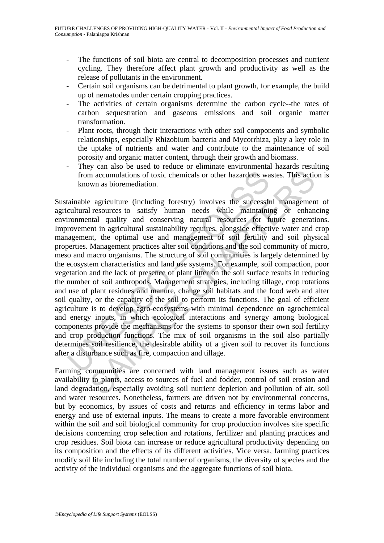- The functions of soil biota are central to decomposition processes and nutrient cycling. They therefore affect plant growth and productivity as well as the release of pollutants in the environment.
- Certain soil organisms can be detrimental to plant growth, for example, the build up of nematodes under certain cropping practices.
- The activities of certain organisms determine the carbon cycle--the rates of carbon sequestration and gaseous emissions and soil organic matter transformation.
- Plant roots, through their interactions with other soil components and symbolic relationships, especially Rhizobium bacteria and Mycorrhiza, play a key role in the uptake of nutrients and water and contribute to the maintenance of soil porosity and organic matter content, through their growth and biomass.
- They can also be used to reduce or eliminate environmental hazards resulting from accumulations of toxic chemicals or other hazardous wastes. This action is known as bioremediation.

from accumulations of toxic chemicals or other hazardous wa<br>known as bioremediation.<br>tainable agriculture (including forestry) involves the successft<br>cultural resources to satisfy human needs while maintainin<br>ironmental qu In accumulations of toxic chemicals or other hazardous wastes. This action<br>an accumulations of toxic chemicals or other hazardous wastes. This action<br>as bioremediation.<br>Pagriculture (including forestry) involves the succes Sustainable agriculture (including forestry) involves the successful management of agricultural resources to satisfy human needs while maintaining or enhancing environmental quality and conserving natural resources for future generations. Improvement in agricultural sustainability requires, alongside effective water and crop management, the optimal use and management of soil fertility and soil physical properties. Management practices alter soil conditions and the soil community of micro, meso and macro organisms. The structure of soil communities is largely determined by the ecosystem characteristics and land use systems. For example, soil compaction, poor vegetation and the lack of presence of plant litter on the soil surface results in reducing the number of soil anthropods. Management strategies, including tillage, crop rotations and use of plant residues and manure, change soil habitats and the food web and alter soil quality, or the capacity of the soil to perform its functions. The goal of efficient agriculture is to develop agro-ecosystems with minimal dependence on agrochemical and energy inputs, in which ecological interactions and synergy among biological components provide the mechanisms for the systems to sponsor their own soil fertility and crop production functions. The mix of soil organisms in the soil also partially determines soil resilience, the desirable ability of a given soil to recover its functions after a disturbance such as fire, compaction and tillage.

Farming communities are concerned with land management issues such as water availability to plants, access to sources of fuel and fodder, control of soil erosion and land degradation, especially avoiding soil nutrient depletion and pollution of air, soil and water resources. Nonetheless, farmers are driven not by environmental concerns, but by economics, by issues of costs and returns and efficiency in terms labor and energy and use of external inputs. The means to create a more favorable environment within the soil and soil biological community for crop production involves site specific decisions concerning crop selection and rotations, fertilizer and planting practices and crop residues. Soil biota can increase or reduce agricultural productivity depending on its composition and the effects of its different activities. Vice versa, farming practices modify soil life including the total number of organisms, the diversity of species and the activity of the individual organisms and the aggregate functions of soil biota.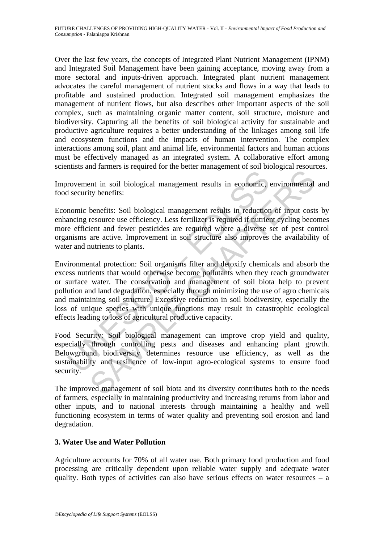Over the last few years, the concepts of Integrated Plant Nutrient Management (IPNM) and Integrated Soil Management have been gaining acceptance, moving away from a more sectoral and inputs-driven approach. Integrated plant nutrient management advocates the careful management of nutrient stocks and flows in a way that leads to profitable and sustained production. Integrated soil management emphasizes the management of nutrient flows, but also describes other important aspects of the soil complex, such as maintaining organic matter content, soil structure, moisture and biodiversity. Capturing all the benefits of soil biological activity for sustainable and productive agriculture requires a better understanding of the linkages among soil life and ecosystem functions and the impacts of human intervention. The complex interactions among soil, plant and animal life, environmental factors and human actions must be effectively managed as an integrated system. A collaborative effort among scientists and farmers is required for the better management of soil biological resources.

Improvement in soil biological management results in economic, environmental and food security benefits:

Economic benefits: Soil biological management results in reduction of input costs by enhancing resource use efficiency. Less fertilizer is required if nutrient cycling becomes more efficient and fewer pesticides are required where a diverse set of pest control organisms are active. Improvement in soil structure also improves the availability of water and nutrients to plants.

rovement in soil biological management results in economic, a<br>security benefits:<br>nomic benefits: Soil biological management results in reduction<br>ancing resource use efficiency. Less fertilizer is required if nutrie<br>e effic The time is of biological management results in economic, environmental<br>ty benefits: Soil biological management results in economic, environmental<br>ty benefits: Soil biological management results in reduction of input cost<br> Environmental protection: Soil organisms filter and detoxify chemicals and absorb the excess nutrients that would otherwise become pollutants when they reach groundwater or surface water. The conservation and management of soil biota help to prevent pollution and land degradation, especially through minimizing the use of agro chemicals and maintaining soil structure. Excessive reduction in soil biodiversity, especially the loss of unique species with unique functions may result in catastrophic ecological effects leading to loss of agricultural productive capacity.

Food Security: Soil biological management can improve crop yield and quality, especially through controlling pests and diseases and enhancing plant growth. Belowground biodiversity determines resource use efficiency, as well as the sustainability and resilience of low-input agro-ecological systems to ensure food security.

The improved management of soil biota and its diversity contributes both to the needs of farmers, especially in maintaining productivity and increasing returns from labor and other inputs, and to national interests through maintaining a healthy and well functioning ecosystem in terms of water quality and preventing soil erosion and land degradation.

## **3. Water Use and Water Pollution**

Agriculture accounts for 70% of all water use. Both primary food production and food processing are critically dependent upon reliable water supply and adequate water quality. Both types of activities can also have serious effects on water resources – a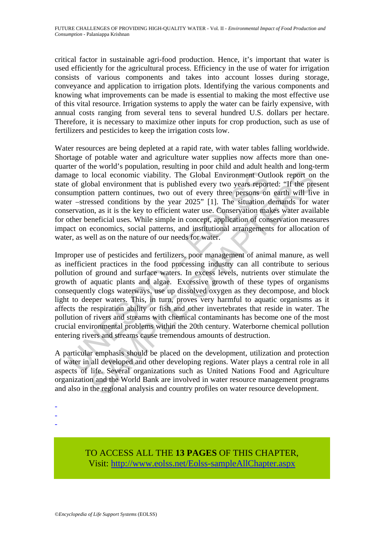critical factor in sustainable agri-food production. Hence, it's important that water is used efficiently for the agricultural process. Efficiency in the use of water for irrigation consists of various components and takes into account losses during storage, conveyance and application to irrigation plots. Identifying the various components and knowing what improvements can be made is essential to making the most effective use of this vital resource. Irrigation systems to apply the water can be fairly expensive, with annual costs ranging from several tens to several hundred U.S. dollars per hectare. Therefore, it is necessary to maximize other inputs for crop production, such as use of fertilizers and pesticides to keep the irrigation costs low.

Water resources are being depleted at a rapid rate, with water tables falling worldwide. Shortage of potable water and agriculture water supplies now affects more than onequarter of the world's population, resulting in poor child and adult health and long-term damage to local economic viability. The Global Environment Outlook report on the state of global environment that is published every two years reported: "If the present consumption pattern continues, two out of every three persons on earth will live in water –stressed conditions by the year 2025" [1]. The situation demands for water conservation, as it is the key to efficient water use. Conservation makes water available for other beneficial uses. While simple in concept, application of conservation measures impact on economics, social patterns, and institutional arrangements for allocation of water, as well as on the nature of our needs for water.

age to local economic viability. The Global Environment Out<br>
of global environment that is published every two years report<br>
sumption pattern continues, two out of every three persons on<br>
err –stressed conditions by the ye local economic viability. The Global Environment Outlook report on<br>bolal environment that is published every two years reported: "If the pre<br>non pattern continues, two out of every three persons on earth will live<br>assesse Improper use of pesticides and fertilizers, poor management of animal manure, as well as inefficient practices in the food processing industry can all contribute to serious pollution of ground and surface waters. In excess levels, nutrients over stimulate the growth of aquatic plants and algae. Excessive growth of these types of organisms consequently clogs waterways, use up dissolved oxygen as they decompose, and block light to deeper waters. This, in turn, proves very harmful to aquatic organisms as it affects the respiration ability or fish and other invertebrates that reside in water. The pollution of rivers and streams with chemical contaminants has become one of the most crucial environmental problems within the 20th century. Waterborne chemical pollution entering rivers and streams cause tremendous amounts of destruction.

A particular emphasis should be placed on the development, utilization and protection of water in all developed and other developing regions. Water plays a central role in all aspects of life. Several organizations such as United Nations Food and Agriculture organization and the World Bank are involved in water resource management programs and also in the regional analysis and country profiles on water resource development.

- -
- -
- -

TO ACCESS ALL THE **13 PAGES** OF THIS CHAPTER, Visit[: http://www.eolss.net/Eolss-sampleAllChapter.aspx](https://www.eolss.net/ebooklib/sc_cart.aspx?File=E5-17-02-03)